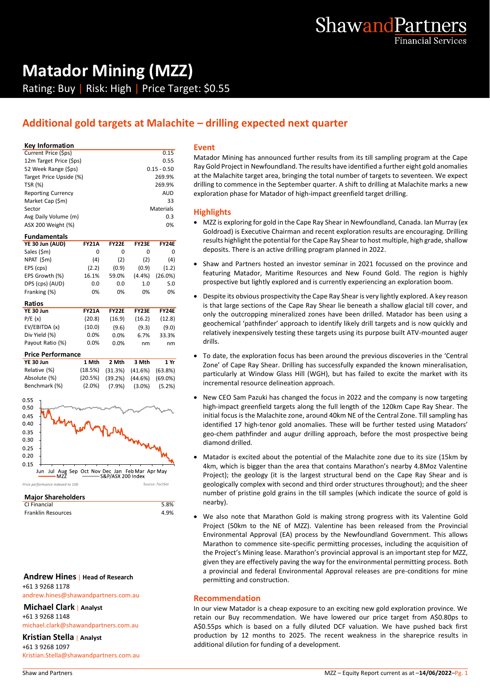

# **Matador Mining (MZZ)** Rating: Buy | Risk: High | Price Target: \$0.55

# **Additional gold targets at Malachite – drilling expected next quarter**

#### **Key Information**

| Current Price (\$ps)      | 0.15          |   |
|---------------------------|---------------|---|
| 12m Target Price (\$ps)   | 0.55          | ٨ |
| 52 Week Range (\$ps)      | $0.15 - 0.50$ | R |
| Target Price Upside (%)   | 269.9%        | a |
| <b>TSR (%)</b>            | 269.9%        | d |
| <b>Reporting Currency</b> | <b>AUD</b>    | e |
| Market Cap (\$m)          | 33            |   |
| Sector                    | Materials     | ŀ |
| Avg Daily Volume (m)      | 0.3           |   |
| ASX 200 Weight (%)        | 0%            |   |

#### **Fundamentals**

| YE 30 Jun (AUD) | <b>FY21A</b> | <b>FY22E</b> | <b>FY23E</b> | <b>FY24E</b> |
|-----------------|--------------|--------------|--------------|--------------|
| Sales (\$m)     | 0            | 0            | 0            | 0            |
| NPAT (\$m)      | (4)          | (2)          | (2)          | (4)          |
| EPS (cps)       | (2.2)        | (0.9)        | (0.9)        | (1.2)        |
| EPS Growth (%)  | 16.1%        | 59.0%        | (4.4%)       | (26.0%)      |
| DPS (cps) (AUD) | 0.0          | 0.0          | 1.0          | 5.0          |
| Franking (%)    | 0%           | 0%           | 0%           | 0%           |
| Ratios          |              |              |              |              |

| YE 30 Jun        | <b>FY21A</b> | <b>FY22E</b> | <b>FY23E</b> | <b>FY24E</b> |
|------------------|--------------|--------------|--------------|--------------|
| P/E(x)           | (20.8)       | (16.9)       | (16.2)       | (12.8)       |
| EV/EBITDA (x)    | (10.0)       | (9.6)        | (9.3)        | (9.0)        |
| Div Yield (%)    | 0.0%         | 0.0%         | 6.7%         | 33.3%        |
| Payout Ratio (%) | 0.0%         | 0.0%         | nm           | nm           |
|                  |              |              |              |              |

#### **Price Performance**

| YE 30 Jun     | 1 Mth     | 2 Mth | 3 Mth                                       | 1 Yr |
|---------------|-----------|-------|---------------------------------------------|------|
| Relative (%)  |           |       | $(18.5\%)$ $(31.3\%)$ $(41.6\%)$ $(63.8\%)$ |      |
| Absolute (%)  |           |       | $(20.5\%)$ $(39.2\%)$ $(44.6\%)$ $(69.0\%)$ |      |
| Benchmark (%) | $(2.0\%)$ |       | $(7.9\%)$ $(3.0\%)$ $(5.2\%)$               |      |



#### **Major Shareholders**

CI Financial 5.8% Franklin Resources and the set of the 4.9%

#### **Andrew Hines** | **Head of Research** +61 3 9268 1178

andrew.hines@shawandpartners.com.au

#### **Michael Clark** | **Analyst** +61 3 9268 1148

michael.clark@shawandpartners.com.au

#### **Kristian Stella** | **Analyst**

+61 3 9268 1097 Kristian.Stella@shawandpartners.com.au

#### **Event**

Matador Mining has announced further results from its till sampling program at the Cape Ray Gold Project in Newfoundland. The results have identified a further eight gold anomalies at the Malachite target area, bringing the total number of targets to seventeen. We expect drilling to commence in the September quarter. A shift to drilling at Malachite marks a new exploration phase for Matador of high-impact greenfield target drilling.

#### **Highlights**

- MZZ is exploring for gold in the Cape Ray Shear in Newfoundland, Canada. Ian Murray (ex Goldroad) is Executive Chairman and recent exploration results are encouraging. Drilling results highlight the potential for the Cape Ray Shear to host multiple, high grade, shallow deposits. There is an active drilling program planned in 2022.
- Shaw and Partners hosted an investor seminar in 2021 focussed on the province and featuring Matador, Maritime Resources and New Found Gold. The region is highly prospective but lightly explored and is currently experiencing an exploration boom.
- Despite its obvious prospectivity the Cape Ray Shear is very lightly explored. A key reason is that large sections of the Cape Ray Shear lie beneath a shallow glacial till cover, and only the outcropping mineralized zones have been drilled. Matador has been using a geochemical 'pathfinder' approach to identify likely drill targets and is now quickly and relatively inexpensively testing these targets using its purpose built ATV-mounted auger drills.
- To date, the exploration focus has been around the previous discoveries in the 'Central Zone' of Cape Ray Shear. Drilling has successfully expanded the known mineralisation, particularly at Window Glass Hill (WGH), but has failed to excite the market with its incremental resource delineation approach.
- New CEO Sam Pazuki has changed the focus in 2022 and the company is now targeting high-impact greenfield targets along the full length of the 120km Cape Ray Shear. The initial focus is the Malachite zone, around 40km NE of the Central Zone. Till sampling has identified 17 high-tenor gold anomalies. These will be further tested using Matadors' geo-chem pathfinder and augur drilling approach, before the most prospective being diamond drilled.
- Matador is excited about the potential of the Malachite zone due to its size (15km by 4km, which is bigger than the area that contains Marathon's nearby 4.8Moz Valentine Project); the geology (it is the largest structural bend on the Cape Ray Shear and is geologically complex with second and third order structures throughout); and the sheer number of pristine gold grains in the till samples (which indicate the source of gold is nearby).
- We also note that Marathon Gold is making strong progress with its Valentine Gold Project (50km to the NE of MZZ). Valentine has been released from the Provincial Environmental Approval (EA) process by the Newfoundland Government. This allows Marathon to commence site-specific permitting processes, including the acquisition of the Project's Mining lease. Marathon's provincial approval is an important step for MZZ, given they are effectively paving the way for the environmental permitting process. Both a provincial and federal Environmental Approval releases are pre-conditions for mine permitting and construction.

#### **Recommendation**

In our view Matador is a cheap exposure to an exciting new gold exploration province. We retain our Buy recommendation. We have lowered our price target from A\$0.80ps to A\$0.55ps which is based on a fully diluted DCF valuation. We have pushed back first production by 12 months to 2025. The recent weakness in the shareprice results in additional dilution for funding of a development.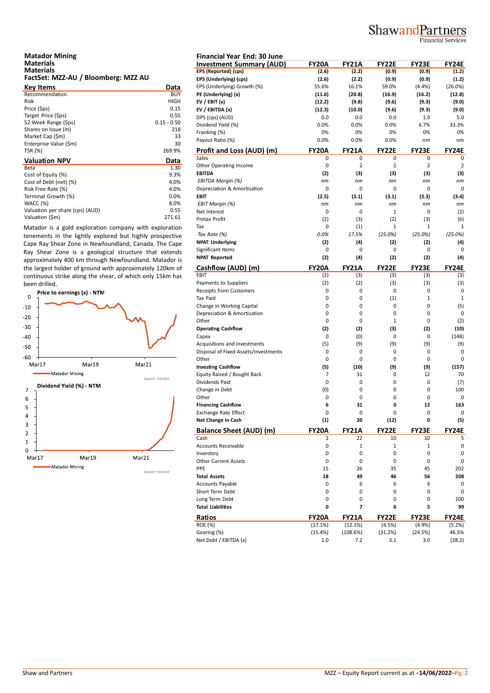# ShawandPartners

**Financial Services** 

| <b>Matador Mining</b>               |  |
|-------------------------------------|--|
| <b>Materials</b>                    |  |
| <b>Materials</b>                    |  |
| FactSet: MZZ-AU / Bloomberg: MZZ AU |  |

| <b>Key Items</b>                | Data          | EP. |
|---------------------------------|---------------|-----|
| Recommendation                  | <b>BUY</b>    | PE  |
| Risk                            | HIGH          | EV  |
| Price (\$ps)                    | 0.15          | EV  |
| Target Price (\$ps)             | 0.55          | DP  |
| 52 Week Range (Sps)             | $0.15 - 0.50$ | Di  |
| Shares on Issue (m)             | 218           | Fra |
| Market Cap (\$m)                | 33            | Pa  |
| Enterprise Value (\$m)          | 30            |     |
| <b>TSR (%)</b>                  | 269.9%        | Pr  |
| <b>Valuation NPV</b>            |               | Sal |
|                                 | Data          |     |
| Beta                            | 1.30          | Ot  |
| Cost of Equity (%)              | 9.3%          | EB  |
| Cost of Debt (net) (%)          | 4.0%          | ΕE  |
| Risk Free Rate (%)              | 4.0%          | De  |
| Terminal Growth (%)             | 0.0%          | EB  |
| <b>WACC (%)</b>                 | 8.0%          | EE  |
| Valuation per share (cps) (AUD) | 0.55          | Ne  |

Matador is a gold exploration company with exploration tenements in the lightly explored but highly prospective Cape Ray Shear Zone in Newfoundland, Canada. The Cape Ray Shear Zone is a geological structure that extends approximately 400 km through Newfoundland. Matador is the largest holder of ground with approximately 120km of continuous strike along the shear, of which only 15km has been drilled.



| <b>Financial Year End: 30 June</b>                       |              |                |                    |                |                |
|----------------------------------------------------------|--------------|----------------|--------------------|----------------|----------------|
| <b>Investment Summary (AUD)</b>                          | FY20A        | <b>FY21A</b>   | <b>FY22E</b>       | FY23E          | FY24E          |
| EPS (Reported) (cps)                                     | (2.6)        | (2.2)          | (0.9)              | (0.9)          | (1.2)          |
| EPS (Underlying) (cps)                                   | (2.6)        | (2.2)          | (0.9)              | (0.9)          | (1.2)          |
| EPS (Underlying) Growth (%)                              | 55.6%        | 16.1%          | 59.0%              | (4.4%)         | (26.0%)        |
| PE (Underlying) (x)                                      | (11.6)       | (20.8)         | (16.9)             | (16.2)         | (12.8)         |
| EV / EBIT $(x)$                                          | (12.2)       | (9.8)          | (9.6)              | (9.3)          | (9.0)          |
| EV / EBITDA (x)                                          | (12.3)       | (10.0)         | (9.6)              | (9.3)          | (9.0)          |
| DPS (cps) (AUD)                                          | 0.0          | 0.0            | 0.0                | 1.0            | 5.0            |
| Dividend Yield (%)                                       | 0.0%         | 0.0%           | 0.0%               | 6.7%           | 33.3%          |
| Franking (%)                                             | 0%           | 0%             | 0%                 | 0%             | 0%             |
| Payout Ratio (%)                                         | 0.0%         | 0.0%           | 0.0%               | nm             | nm             |
| Profit and Loss (AUD) (m)                                | FY20A        | FY21A          | <b>FY22E</b>       | FY23E          | FY24E          |
| Sales                                                    | 0            | 0              | 0                  | 0              | 0              |
| Other Operating Income                                   | 0            | $\overline{2}$ | $\overline{2}$     | $\overline{2}$ | $\overline{2}$ |
| <b>EBITDA</b>                                            | (2)          | (3)            | (3)                | (3)            | (3)            |
| EBITDA Margin (%)                                        | nm           | nm             | nm                 | nm             | nm             |
| Depreciation & Amortisation                              | 0            | 0              | 0                  | 0              | 0              |
| <b>EBIT</b>                                              | (2.5)        | (3.1)          | (3.1)              | (3.3)          | (3.4)          |
|                                                          | nm           | nm             | nm                 | nm             | nm             |
| EBIT Margin (%)                                          |              |                |                    |                |                |
| Net Interest                                             | 0            | 0              | $\mathbf{1}$       | 0              | (2)            |
| Pretax Profit                                            | (2)          | (3)            | (2)                | (3)            | (6)            |
| Tax                                                      | 0            | (1)            | 1                  | 1              | $\mathbf{1}$   |
| Tax Rate (%)                                             | 0.0%         | 17.5%          | (25.0%)            | (25.0%)        | (25.0%)        |
| <b>NPAT Underlying</b>                                   | (2)          | (4)            | (2)                | (2)            | (4)            |
| Significant Items                                        | 0            | 0              | 0                  | 0              | 0              |
| <b>NPAT Reported</b>                                     | (2)          | (4)            | (2)                | (2)            | (4)            |
| Cashflow (AUD) (m)                                       | <b>FY20A</b> | <b>FY21A</b>   | <b>FY22E</b>       | <b>FY23E</b>   | <b>FY24E</b>   |
| EBIT                                                     | (2)          | (3)            | (3)                | (3)            | (3)            |
| Payments to Suppliers                                    | (2)          | (2)            | (3)                | (3)            | (3)            |
| Receipts from Customers                                  | 0            | 0              | 0                  | 0              | 0              |
| Tax Paid                                                 | 0            | 0              | (1)                | $\mathbf 1$    | $\mathbf{1}$   |
| Change in Working Capital                                | 0            | 0              | $\mathbf 0$        | 0              | (5)            |
| Depreciation & Amortisation                              | 0            | 0              | 0                  | 0              | 0              |
| Other                                                    | 0            | 0              | $\mathbf{1}$       | 0              | (2)            |
| <b>Operating Cashflow</b>                                | (2)          | (2)            | (3)                | (2)            | (10)           |
| Capex                                                    | 0            | (0)            | 0                  | 0              | (148)          |
| Acquisitions and Investments                             | (5)          | (9)            | (9)                | (9)            | (9)            |
| Disposal of Fixed Assets/Investments                     | 0            | 0              | 0                  | 0              | 0              |
| Other                                                    | $\mathsf 0$  | 0              | 0                  | 0              | 0              |
| <b>Investing Cashflow</b>                                | (5)          | (10)           | (9)                | (9)            | (157)          |
| Equity Raised / Bought Back                              | 7            | 31             | 0                  | 12             | 70             |
| Dividends Paid                                           | 0            | 0              | 0                  | 0              | (7)            |
| Change in Debt                                           | (0)          | 0              | $\mathbf 0$        | 0              | 100            |
| Other                                                    | 0            | 0              | 0                  | 0              | 0              |
|                                                          | 6            | 31             | 0                  | 12             | 163            |
| <b>Financing Cashflow</b><br><b>Exchange Rate Effect</b> |              |                | 0                  |                |                |
| Net Change in Cash                                       | 0<br>(1)     | 0<br>20        | (12)               | 0<br>0         | 0<br>(5)       |
|                                                          |              | <b>FY21A</b>   |                    |                | <b>FY24E</b>   |
| <b>Balance Sheet (AUD) (m)</b><br>Cash                   | FY20A<br>2   | 22             | <b>FY22E</b><br>10 | FY23E<br>10    | 5              |
| Accounts Receivable                                      | 0            | 1              | $\mathbf 1$        | $\mathbf 1$    | 0              |
|                                                          |              |                |                    |                |                |
| Inventory                                                | 0            | 0              | 0                  | 0              | 0              |
| <b>Other Current Assets</b>                              | 0            | 0              | 0                  | 0              | 0              |
| PPE                                                      | 15           | 26             | 35                 | 45             | 202            |
| <b>Total Assets</b>                                      | 18           | 49             | 46                 | 56             | 208            |
| <b>Accounts Payable</b>                                  | 0            | 6              | 6                  | 6              | 0              |
| Short Term Debt                                          | 0            | 0              | 0                  | 0              | 0              |
| Long Term Debt                                           | 0            | 0              | 0                  | 0              | 100            |
| <b>Total Liabilities</b>                                 | 0            | 7              | 6                  | 5              | 99             |
| Ratios                                                   | FY20A        | <b>FY21A</b>   | <b>FY22E</b>       | FY23E          | <b>FY24E</b>   |
| ROE (%)                                                  | (17.1%)      | (12.1%)        | (4.5%)             | (4.9%)         | (5.2%)         |
| Gearing (%)                                              | (15.4%)      | (108.6%)       | (31.2%)            | (24.5%)        | 46.5%          |
| Net Debt / EBITDA (x)                                    | 1.0          | 7.2            | 3.1                | 3.0            | (28.2)         |
|                                                          |              |                |                    |                |                |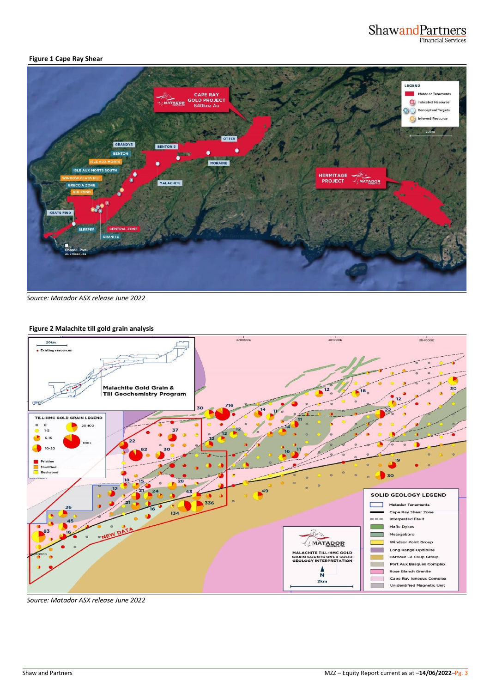# Shawand Partners

#### **Figure 1 Cape Ray Shear**



*Source: Matador ASX release June 2022*

#### **Figure 2 Malachite till gold grain analysis**



*Source: Matador ASX release June 2022*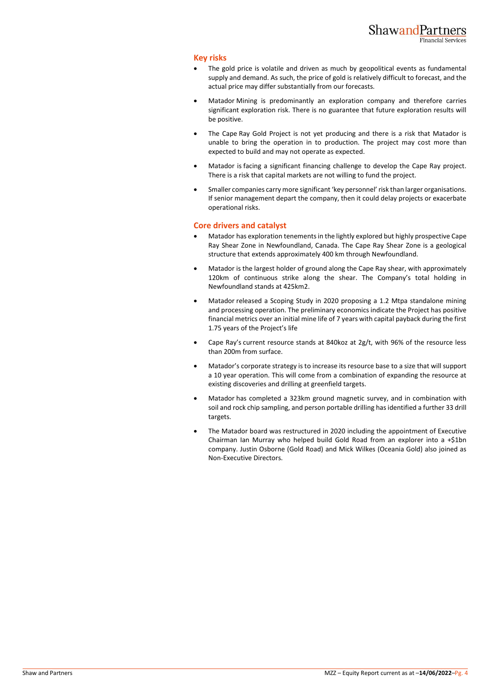#### **Key risks**

- The gold price is volatile and driven as much by geopolitical events as fundamental supply and demand. As such, the price of gold is relatively difficult to forecast, and the actual price may differ substantially from our forecasts.
- Matador Mining is predominantly an exploration company and therefore carries significant exploration risk. There is no guarantee that future exploration results will be positive.
- The Cape Ray Gold Project is not yet producing and there is a risk that Matador is unable to bring the operation in to production. The project may cost more than expected to build and may not operate as expected.
- Matador is facing a significant financing challenge to develop the Cape Ray project. There is a risk that capital markets are not willing to fund the project.
- Smaller companies carry more significant 'key personnel' risk than larger organisations. If senior management depart the company, then it could delay projects or exacerbate operational risks.

#### **Core drivers and catalyst**

- Matador has exploration tenements in the lightly explored but highly prospective Cape Ray Shear Zone in Newfoundland, Canada. The Cape Ray Shear Zone is a geological structure that extends approximately 400 km through Newfoundland.
- Matador is the largest holder of ground along the Cape Ray shear, with approximately 120km of continuous strike along the shear. The Company's total holding in Newfoundland stands at 425km2.
- Matador released a Scoping Study in 2020 proposing a 1.2 Mtpa standalone mining and processing operation. The preliminary economics indicate the Project has positive financial metrics over an initial mine life of 7 years with capital payback during the first 1.75 years of the Project's life
- Cape Ray's current resource stands at 840koz at 2g/t, with 96% of the resource less than 200m from surface.
- Matador's corporate strategy is to increase its resource base to a size that will support a 10 year operation. This will come from a combination of expanding the resource at existing discoveries and drilling at greenfield targets.
- Matador has completed a 323km ground magnetic survey, and in combination with soil and rock chip sampling, and person portable drilling has identified a further 33 drill targets.
- The Matador board was restructured in 2020 including the appointment of Executive Chairman Ian Murray who helped build Gold Road from an explorer into a +\$1bn company. Justin Osborne (Gold Road) and Mick Wilkes (Oceania Gold) also joined as Non-Executive Directors.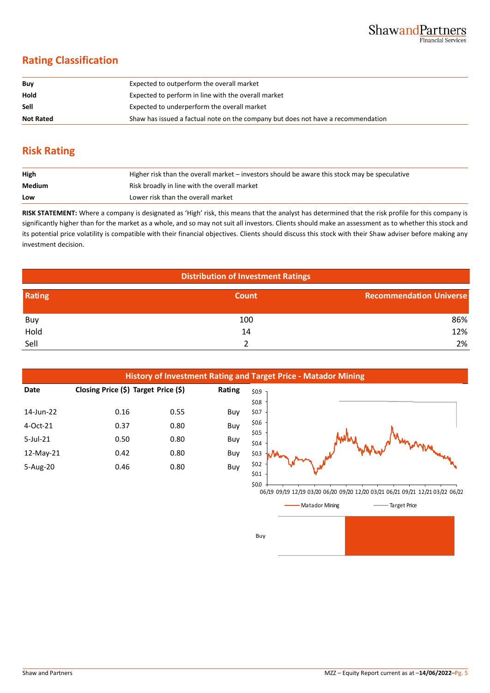## **Rating Classification**

| Buy              | Expected to outperform the overall market                                        |
|------------------|----------------------------------------------------------------------------------|
| Hold             | Expected to perform in line with the overall market                              |
| Sell             | Expected to underperform the overall market                                      |
| <b>Not Rated</b> | Shaw has issued a factual note on the company but does not have a recommendation |

## **Risk Rating**

| High   | Higher risk than the overall market – investors should be aware this stock may be speculative |
|--------|-----------------------------------------------------------------------------------------------|
| Medium | Risk broadly in line with the overall market                                                  |
| Low    | Lower risk than the overall market                                                            |

**RISK STATEMENT:** Where a company is designated as 'High' risk, this means that the analyst has determined that the risk profile for this company is significantly higher than for the market as a whole, and so may not suit all investors. Clients should make an assessment as to whether this stock and its potential price volatility is compatible with their financial objectives. Clients should discuss this stock with their Shaw adviser before making any investment decision.

| <b>Distribution of Investment Ratings</b> |       |                                |  |  |
|-------------------------------------------|-------|--------------------------------|--|--|
| Rating                                    | Count | <b>Recommendation Universe</b> |  |  |
| Buy                                       | 100   | 86%                            |  |  |
| Hold                                      | 14    | 12%                            |  |  |
| Sell                                      |       | 2%                             |  |  |









Buy